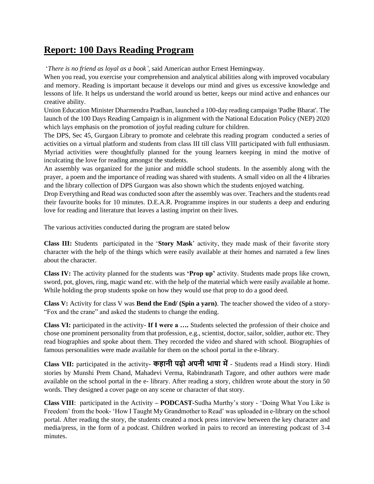## **Report: 100 Days Reading Program**

'*There is no friend as loyal as a book'*, said American author Ernest Hemingway.

When you read, you exercise your comprehension and analytical abilities along with improved vocabulary and memory. Reading is important because it develops our mind and gives us excessive knowledge and lessons of life. It helps us understand the world around us better, keeps our mind active and enhances our creative ability.

Union Education Minister Dharmendra Pradhan, launched a 100-day reading campaign 'Padhe Bharat'. The launch of the 100 Days Reading Campaign is in alignment with the National Education Policy (NEP) 2020 which lays emphasis on the promotion of joyful reading culture for children.

The DPS, Sec 45, Gurgaon Library to promote and celebrate this reading program conducted a series of activities on a virtual platform and students from class III till class VIII participated with full enthusiasm. Myriad activities were thoughtfully planned for the young learners keeping in mind the motive of inculcating the love for reading amongst the students.

An assembly was organized for the junior and middle school students. In the assembly along with the prayer, a poem and the importance of reading was shared with students. A small video on all the 4 libraries and the library collection of DPS Gurgaon was also shown which the students enjoyed watching.

Drop Everything and Read was conducted soon after the assembly was over. Teachers and the students read their favourite books for 10 minutes. D.E.A.R. Programme inspires in our students a deep and enduring love for reading and literature that leaves a lasting imprint on their lives.

The various activities conducted during the program are stated below

**Class III:** Students participated in the '**Story Mask**' activity, they made mask of their favorite story character with the help of the things which were easily available at their homes and narrated a few lines about the character.

**Class IV:** The activity planned for the students was **'Prop up'** activity. Students made props like crown, sword, pot, gloves, ring, magic wand etc. with the help of the material which were easily available at home. While holding the prop students spoke on how they would use that prop to do a good deed.

**Class V:** Activity for class V was **Bend the End/ (Spin a yarn)**. The teacher showed the video of a story- "Fox and the crane" and asked the students to change the ending.

**Class VI:** participated in the activity- **If I were a ….** Students selected the profession of their choice and chose one prominent personality from that profession, e.g., scientist, doctor, sailor, soldier, author etc. They read biographies and spoke about them. They recorded the video and shared with school. Biographies of famous personalities were made available for them on the school portal in the e-library.

**Class VII:** participated in the activity**- कहानी पढ़ो अपनी भाषा में**- Students read a Hindi story. Hindi stories by Munshi Prem Chand, Mahadevi Verma, Rabindranath Tagore, and other authors were made available on the school portal in the e- library. After reading a story, children wrote about the story in 50 words. They designed a cover page on any scene or character of that story.

**Class VIII**: participated in the Activity **– PODCAST-**Sudha Murthy's story - 'Doing What You Like is Freedom' from the book- 'How I Taught My Grandmother to Read' was uploaded in e-library on the school portal. After reading the story, the students created a mock press interview between the key character and media/press, in the form of a podcast. Children worked in pairs to record an interesting podcast of 3-4 minutes.